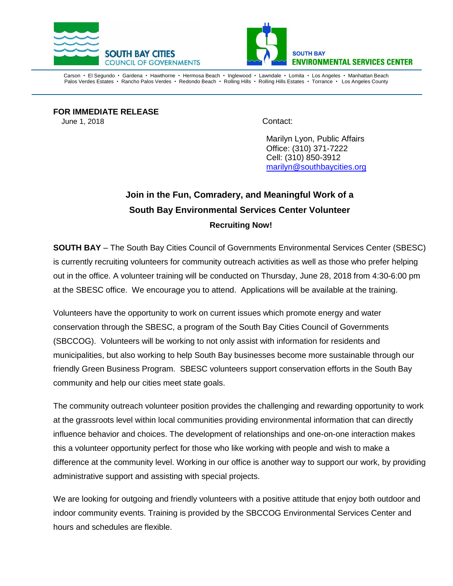



Carson • El Segundo • Gardena • Hawthorne • Hermosa Beach • Inglewood • Lawndale • Lomita • Los Angeles • Manhattan Beach Palos Verdes Estates · Rancho Palos Verdes · Redondo Beach · Rolling Hills · Rolling Hills Estates · Torrance · Los Angeles County

**FOR IMMEDIATE RELEASE**  June 1, 2018 Contact:

Marilyn Lyon, Public Affairs Office: (310) 371-7222 Cell: (310) 850-3912 [marilyn@southbaycities.org](mailto:marilyn@southbaycities.org)

## **Join in the Fun, Comradery, and Meaningful Work of a South Bay Environmental Services Center Volunteer Recruiting Now!**

**SOUTH BAY** – The South Bay Cities Council of Governments Environmental Services Center (SBESC) is currently recruiting volunteers for community outreach activities as well as those who prefer helping out in the office. A volunteer training will be conducted on Thursday, June 28, 2018 from 4:30-6:00 pm at the SBESC office. We encourage you to attend. Applications will be available at the training.

Volunteers have the opportunity to work on current issues which promote energy and water conservation through the SBESC, a program of the South Bay Cities Council of Governments (SBCCOG). Volunteers will be working to not only assist with information for residents and municipalities, but also working to help South Bay businesses become more sustainable through our friendly Green Business Program. SBESC volunteers support conservation efforts in the South Bay community and help our cities meet state goals.

The community outreach volunteer position provides the challenging and rewarding opportunity to work at the grassroots level within local communities providing environmental information that can directly influence behavior and choices. The development of relationships and one-on-one interaction makes this a volunteer opportunity perfect for those who like working with people and wish to make a difference at the community level. Working in our office is another way to support our work, by providing administrative support and assisting with special projects.

We are looking for outgoing and friendly volunteers with a positive attitude that enjoy both outdoor and indoor community events. Training is provided by the SBCCOG Environmental Services Center and hours and schedules are flexible.